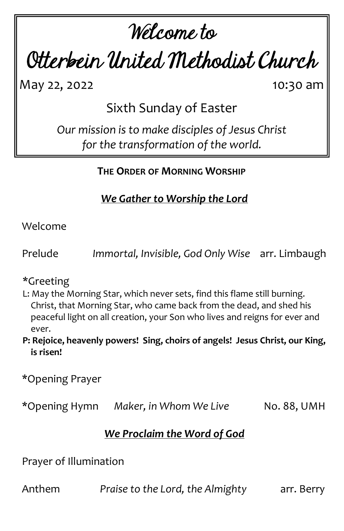# Welcome to

Otterbein United Methodist Church

May 22, 2022 10:30 am

Sixth Sunday of Easter

*Our mission is to make disciples of Jesus Christ for the transformation of the world.*

# **THE ORDER OF MORNING WORSHIP**

*We Gather to Worship the Lord*

Welcome

Prelude *Immortal, Invisible, God Only Wise* arr. Limbaugh

\*Greeting

L: May the Morning Star, which never sets, find this flame still burning. Christ, that Morning Star, who came back from the dead, and shed his peaceful light on all creation, your Son who lives and reigns for ever and ever.

**P: Rejoice, heavenly powers! Sing, choirs of angels! Jesus Christ, our King, is risen!**

\*Opening Prayer

\*Opening Hymn *Maker, in Whom We Live* No. 88, UMH

## *We Proclaim the Word of God*

Prayer of Illumination

Anthem *Praise to the Lord, the Almighty* arr. Berry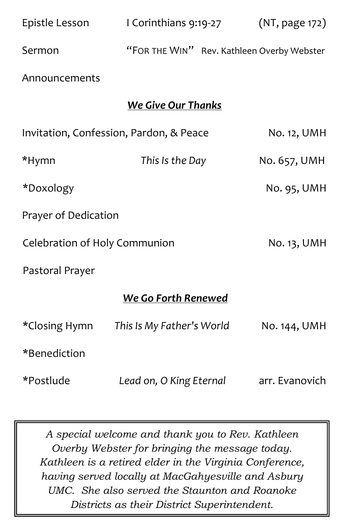| Epistle Lesson                          | I Corinthians 9:19-27                      |  | (NT, page 172) |  |
|-----------------------------------------|--------------------------------------------|--|----------------|--|
| Sermon                                  | "FOR THE WIN" Rev. Kathleen Overby Webster |  |                |  |
| Announcements                           |                                            |  |                |  |
| <b>We Give Our Thanks</b>               |                                            |  |                |  |
| Invitation, Confession, Pardon, & Peace |                                            |  | No. 12, UMH    |  |
| *Hymn                                   | This Is the Day                            |  | No. 657, UMH   |  |
| *Doxology                               |                                            |  | No. 95, UMH    |  |
| Prayer of Dedication                    |                                            |  |                |  |
| Celebration of Holy Communion           |                                            |  | No. 13, UMH    |  |
| Pastoral Prayer                         |                                            |  |                |  |
|                                         | We Go Forth Renewed                        |  |                |  |
| *Closing Hymn                           | This Is My Father's World                  |  | No. 144, UMH   |  |
| *Benediction                            |                                            |  |                |  |
| *Postlude                               | Lead on, O King Eternal                    |  | arr. Evanovich |  |

*A special welcome and thank you to Rev. Kathleen Overby Webster for bringing the message today. Kathleen is a retired elder in the Virginia Conference, having served locally at MacGahyesville and Asbury UMC. She also served the Staunton and Roanoke Districts as their District Superintendent.*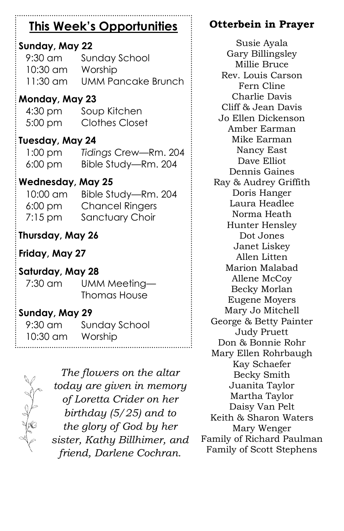# **This Week's Opportunities**

## **Sunday, May 22**

| $9:30$ am | Sunday School             |
|-----------|---------------------------|
| 10:30 am  | Worship                   |
| 11:30 am  | <b>UMM Pancake Brunch</b> |

#### **Monday, May 23**

| $4:30 \text{ pm}$ | Soup Kitchen          |
|-------------------|-----------------------|
| $5:00$ pm         | <b>Clothes Closet</b> |

#### **Tuesday, May 24**

1:00 pm *Tidings* Crew—Rm. 204 6:00 pm Bible Study—Rm. 204

#### **Wednesday, May 25**

| 10:00 am          | Bible Study-Rm. 204    |
|-------------------|------------------------|
| $6:00 \text{ pm}$ | <b>Chancel Ringers</b> |
| $7:15 \text{ pm}$ | Sanctuary Choir        |

## **Thursday, May 26**

# **Friday, May 27**

#### **Saturday, May 28**

7:30 am UMM Meeting— Thomas House

#### **Sunday, May 29**

| $\frac{1}{2}$ 9:30 am | Sunday School |
|-----------------------|---------------|
| 10:30 am Worship      |               |
|                       |               |



*The flowers on the altar today are given in memory of Loretta Crider on her birthday (5/25) and to the glory of God by her sister, Kathy Billhimer, and friend, Darlene Cochran.*

. . . . . . :

# **Otterbein in Prayer**

Susie Ayala Gary Billingsley Millie Bruce Rev. Louis Carson Fern Cline Charlie Davis Cliff & Jean Davis Jo Ellen Dickenson Amber Earman Mike Earman Nancy East Dave Elliot Dennis Gaines Ray & Audrey Griffith Doris Hanger Laura Headlee Norma Heath Hunter Hensley Dot Jones Janet Liskey Allen Litten Marion Malabad Allene McCoy Becky Morlan Eugene Moyers Mary Jo Mitchell George & Betty Painter Judy Pruett Don & Bonnie Rohr Mary Ellen Rohrbaugh Kay Schaefer Becky Smith Juanita Taylor Martha Taylor Daisy Van Pelt Keith & Sharon Waters Mary Wenger Family of Richard Paulman Family of Scott Stephens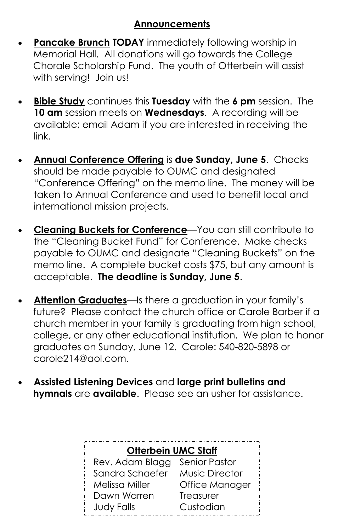#### **Announcements**

- **Pancake Brunch TODAY** immediately following worship in Memorial Hall. All donations will go towards the College Chorale Scholarship Fund. The youth of Otterbein will assist with serving! Join us!
- **Bible Study** continues this **Tuesday** with the **6 pm** session. The **10 am** session meets on **Wednesdays**. A recording will be available; email Adam if you are interested in receiving the link.
- **Annual Conference Offering** is **due Sunday, June 5**. Checks should be made payable to OUMC and designated "Conference Offering" on the memo line. The money will be taken to Annual Conference and used to benefit local and international mission projects.
- **Cleaning Buckets for Conference**—You can still contribute to the "Cleaning Bucket Fund" for Conference. Make checks payable to OUMC and designate "Cleaning Buckets" on the memo line. A complete bucket costs \$75, but any amount is acceptable. **The deadline is Sunday, June 5**.
- **Attention Graduates**—Is there a graduation in your family's future? Please contact the church office or Carole Barber if a church member in your family is graduating from high school, college, or any other educational institution. We plan to honor graduates on Sunday, June 12. Carole: 540-820-5898 or carole214@aol.com.
- **Assisted Listening Devices** and **large print bulletins and hymnals** are **available**. Please see an usher for assistance.

| <b>Otterbein UMC Staff</b> |                       |  |
|----------------------------|-----------------------|--|
| Rev. Adam Blagg            | <b>Senior Pastor</b>  |  |
| Sandra Schaefer            | <b>Music Director</b> |  |
| Melissa Miller             | Office Manager        |  |
| Dawn Warren                | Treasurer             |  |
| <b>Judy Falls</b>          | Custodian             |  |